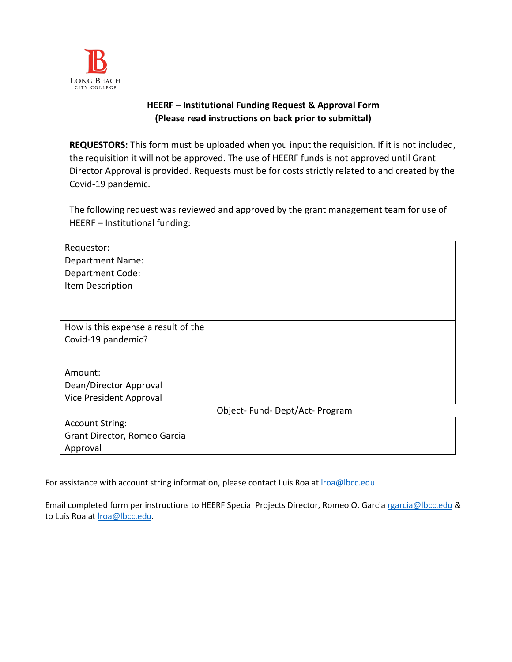

## **HEERF – Institutional Funding Request & Approval Form (Please read instructions on back prior to submittal)**

**REQUESTORS:** This form must be uploaded when you input the requisition. If it is not included, the requisition it will not be approved. The use of HEERF funds is not approved until Grant Director Approval is provided. Requests must be for costs strictly related to and created by the Covid-19 pandemic.

The following request was reviewed and approved by the grant management team for use of HEERF – Institutional funding:

| Requestor:                          |                              |
|-------------------------------------|------------------------------|
| <b>Department Name:</b>             |                              |
| <b>Department Code:</b>             |                              |
| Item Description                    |                              |
|                                     |                              |
|                                     |                              |
| How is this expense a result of the |                              |
| Covid-19 pandemic?                  |                              |
|                                     |                              |
|                                     |                              |
| Amount:                             |                              |
| Dean/Director Approval              |                              |
| Vice President Approval             |                              |
|                                     | Object-Fund-Dept/Act-Program |

| <b>Account String:</b>       |  |
|------------------------------|--|
| Grant Director, Romeo Garcia |  |
| Approval                     |  |

For assistance with account string information, please contact Luis Roa at *Iroa@lbcc.edu* 

Email completed form per instructions to HEERF Special Projects Director, Romeo O. Garci[a rgarcia@lbcc.edu](mailto:rgarcia@lbcc.edu) & to Luis Roa at *Iroa*@lbcc.edu.